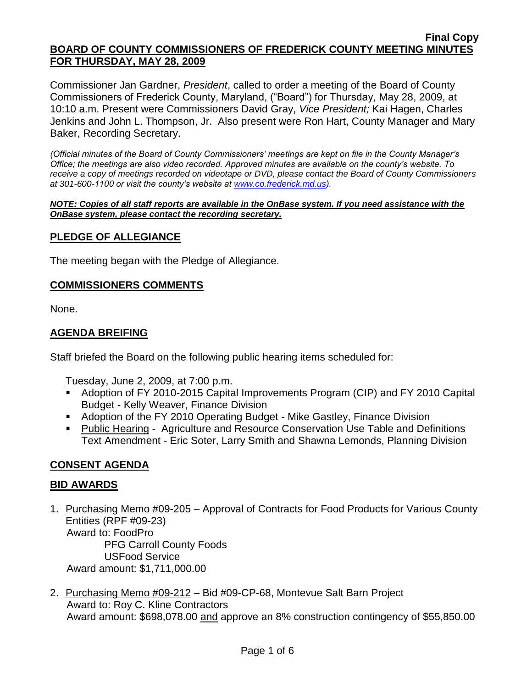Commissioner Jan Gardner, *President*, called to order a meeting of the Board of County Commissioners of Frederick County, Maryland, ("Board") for Thursday, May 28, 2009, at 10:10 a.m. Present were Commissioners David Gray, *Vice President;* Kai Hagen, Charles Jenkins and John L. Thompson, Jr. Also present were Ron Hart, County Manager and Mary Baker, Recording Secretary.

*(Official minutes of the Board of County Commissioners' meetings are kept on file in the County Manager's Office; the meetings are also video recorded. Approved minutes are available on the county's website. To receive a copy of meetings recorded on videotape or DVD, please contact the Board of County Commissioners at 301-600-1100 or visit the county's website at [www.co.frederick.md.us\)](http://www.co.frederick.md.us/).*

#### *NOTE: Copies of all staff reports are available in the OnBase system. If you need assistance with the OnBase system, please contact the recording secretary.*

## **PLEDGE OF ALLEGIANCE**

The meeting began with the Pledge of Allegiance.

#### **COMMISSIONERS COMMENTS**

None.

## **AGENDA BREIFING**

Staff briefed the Board on the following public hearing items scheduled for:

Tuesday, June 2, 2009, at 7:00 p.m.

- Adoption of FY 2010-2015 Capital Improvements Program (CIP) and FY 2010 Capital Budget - Kelly Weaver, Finance Division
- Adoption of the FY 2010 Operating Budget Mike Gastley, Finance Division
- Public Hearing Agriculture and Resource Conservation Use Table and Definitions Text Amendment - Eric Soter, Larry Smith and Shawna Lemonds, Planning Division

## **CONSENT AGENDA**

## **BID AWARDS**

- 1. Purchasing Memo #09-205 Approval of Contracts for Food Products for Various County Entities (RPF #09-23) Award to: FoodPro PFG Carroll County Foods USFood Service Award amount: \$1,711,000.00
- 2. Purchasing Memo #09-212 Bid #09-CP-68, Montevue Salt Barn Project Award to: Roy C. Kline Contractors Award amount: \$698,078.00 and approve an 8% construction contingency of \$55,850.00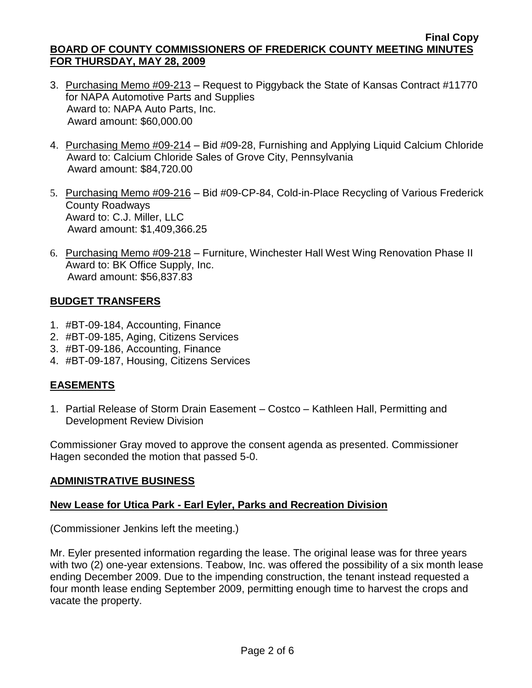- 3. Purchasing Memo #09-213 Request to Piggyback the State of Kansas Contract #11770 for NAPA Automotive Parts and Supplies Award to: NAPA Auto Parts, Inc. Award amount: \$60,000.00
- 4. Purchasing Memo #09-214 Bid #09-28, Furnishing and Applying Liquid Calcium Chloride Award to: Calcium Chloride Sales of Grove City, Pennsylvania Award amount: \$84,720.00
- 5. Purchasing Memo #09-216 Bid #09-CP-84, Cold-in-Place Recycling of Various Frederick County Roadways Award to: C.J. Miller, LLC Award amount: \$1,409,366.25
- 6. Purchasing Memo #09-218 Furniture, Winchester Hall West Wing Renovation Phase II Award to: BK Office Supply, Inc. Award amount: \$56,837.83

## **BUDGET TRANSFERS**

- 1. #BT-09-184, Accounting, Finance
- 2. #BT-09-185, Aging, Citizens Services
- 3. #BT-09-186, Accounting, Finance
- 4. #BT-09-187, Housing, Citizens Services

# **EASEMENTS**

1. Partial Release of Storm Drain Easement – Costco – Kathleen Hall, Permitting and Development Review Division

Commissioner Gray moved to approve the consent agenda as presented. Commissioner Hagen seconded the motion that passed 5-0.

# **ADMINISTRATIVE BUSINESS**

# **New Lease for Utica Park - Earl Eyler, Parks and Recreation Division**

(Commissioner Jenkins left the meeting.)

Mr. Eyler presented information regarding the lease. The original lease was for three years with two (2) one-year extensions. Teabow, Inc. was offered the possibility of a six month lease ending December 2009. Due to the impending construction, the tenant instead requested a four month lease ending September 2009, permitting enough time to harvest the crops and vacate the property.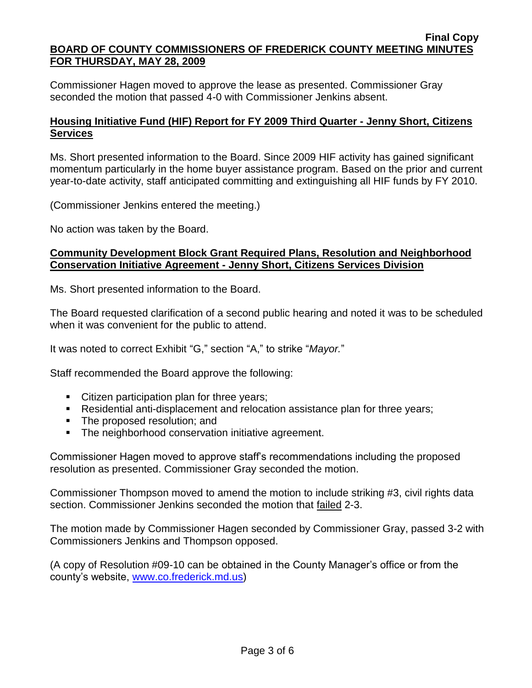Commissioner Hagen moved to approve the lease as presented. Commissioner Gray seconded the motion that passed 4-0 with Commissioner Jenkins absent.

## **Housing Initiative Fund (HIF) Report for FY 2009 Third Quarter - Jenny Short, Citizens Services**

Ms. Short presented information to the Board. Since 2009 HIF activity has gained significant momentum particularly in the home buyer assistance program. Based on the prior and current year-to-date activity, staff anticipated committing and extinguishing all HIF funds by FY 2010.

(Commissioner Jenkins entered the meeting.)

No action was taken by the Board.

## **Community Development Block Grant Required Plans, Resolution and Neighborhood Conservation Initiative Agreement - Jenny Short, Citizens Services Division**

Ms. Short presented information to the Board.

The Board requested clarification of a second public hearing and noted it was to be scheduled when it was convenient for the public to attend.

It was noted to correct Exhibit "G," section "A," to strike "*Mayor.*"

Staff recommended the Board approve the following:

- Citizen participation plan for three years;
- Residential anti-displacement and relocation assistance plan for three years;
- The proposed resolution; and
- **The neighborhood conservation initiative agreement.**

Commissioner Hagen moved to approve staff's recommendations including the proposed resolution as presented. Commissioner Gray seconded the motion.

Commissioner Thompson moved to amend the motion to include striking #3, civil rights data section. Commissioner Jenkins seconded the motion that failed 2-3.

The motion made by Commissioner Hagen seconded by Commissioner Gray, passed 3-2 with Commissioners Jenkins and Thompson opposed.

(A copy of Resolution #09-10 can be obtained in the County Manager's office or from the county's website, [www.co.frederick.md.us\)](www.co.frederick.md.us)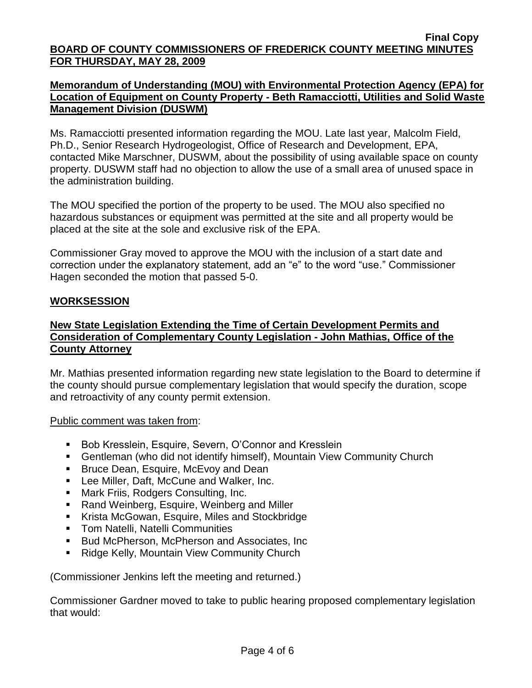## **Memorandum of Understanding (MOU) with Environmental Protection Agency (EPA) for Location of Equipment on County Property - Beth Ramacciotti, Utilities and Solid Waste Management Division (DUSWM)**

Ms. Ramacciotti presented information regarding the MOU. Late last year, Malcolm Field, Ph.D., Senior Research Hydrogeologist, Office of Research and Development, EPA, contacted Mike Marschner, DUSWM, about the possibility of using available space on county property. DUSWM staff had no objection to allow the use of a small area of unused space in the administration building.

The MOU specified the portion of the property to be used. The MOU also specified no hazardous substances or equipment was permitted at the site and all property would be placed at the site at the sole and exclusive risk of the EPA.

Commissioner Gray moved to approve the MOU with the inclusion of a start date and correction under the explanatory statement, add an "e" to the word "use." Commissioner Hagen seconded the motion that passed 5-0.

## **WORKSESSION**

## **New State Legislation Extending the Time of Certain Development Permits and Consideration of Complementary County Legislation - John Mathias, Office of the County Attorney**

Mr. Mathias presented information regarding new state legislation to the Board to determine if the county should pursue complementary legislation that would specify the duration, scope and retroactivity of any county permit extension.

## Public comment was taken from:

- **Bob Kresslein, Esquire, Severn, O'Connor and Kresslein**
- Gentleman (who did not identify himself), Mountain View Community Church
- **Bruce Dean, Esquire, McEvoy and Dean**
- Lee Miller, Daft, McCune and Walker, Inc.
- **Mark Friis, Rodgers Consulting, Inc.**
- Rand Weinberg, Esquire, Weinberg and Miller
- Krista McGowan, Esquire, Miles and Stockbridge
- **Tom Natelli, Natelli Communities**
- Bud McPherson, McPherson and Associates, Inc
- **Ridge Kelly, Mountain View Community Church**

(Commissioner Jenkins left the meeting and returned.)

Commissioner Gardner moved to take to public hearing proposed complementary legislation that would: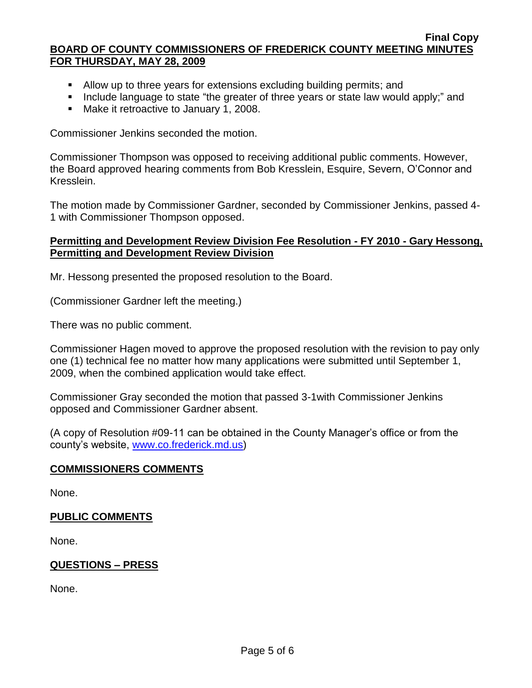- Allow up to three years for extensions excluding building permits; and
- Include language to state "the greater of three years or state law would apply;" and
- **Make it retroactive to January 1, 2008.**

Commissioner Jenkins seconded the motion.

Commissioner Thompson was opposed to receiving additional public comments. However, the Board approved hearing comments from Bob Kresslein, Esquire, Severn, O'Connor and Kresslein.

The motion made by Commissioner Gardner, seconded by Commissioner Jenkins, passed 4- 1 with Commissioner Thompson opposed.

### **Permitting and Development Review Division Fee Resolution - FY 2010 - Gary Hessong, Permitting and Development Review Division**

Mr. Hessong presented the proposed resolution to the Board.

(Commissioner Gardner left the meeting.)

There was no public comment.

Commissioner Hagen moved to approve the proposed resolution with the revision to pay only one (1) technical fee no matter how many applications were submitted until September 1, 2009, when the combined application would take effect.

Commissioner Gray seconded the motion that passed 3-1with Commissioner Jenkins opposed and Commissioner Gardner absent.

(A copy of Resolution #09-11 can be obtained in the County Manager's office or from the county's website, [www.co.frederick.md.us\)](www.co.frederick.md.us)

## **COMMISSIONERS COMMENTS**

None.

## **PUBLIC COMMENTS**

None.

## **QUESTIONS – PRESS**

None.